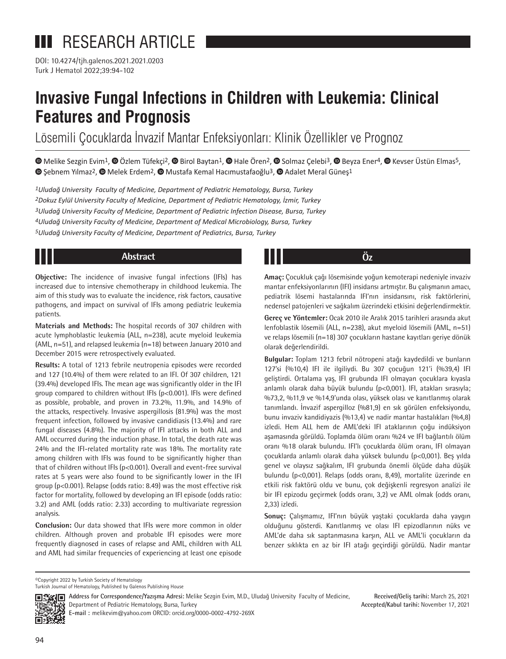DOI: 10.4274/tjh.galenos.2021.2021.0203 Turk J Hematol 2022;39:94-102

# **Invasive Fungal Infections in Children with Leukemia: Clinical Features and Prognosis**

Lösemili Çocuklarda İnvazif Mantar Enfeksiyonları: Klinik Özellikler ve Prognoz

 $\bullet$ Melike Sezgin Evim<sup>1</sup>,  $\bullet$  Özlem Tüfekçi<sup>2</sup>,  $\bullet$  [B](https://orcid.org/0000-0002-4803-8206)irol Baytan<sup>1</sup>,  $\bullet$  Hale Ören<sup>2</sup>,  $\bullet$  Solmaz Çelebi<sup>3</sup>,  $\bullet$  Beyza Ener<sup>4</sup>,  $\bullet$  Kevser Üstün Elmas<sup>5</sup>,  $\bullet$ Şebnem Yılmaz<sup>2</sup>[,](https://orcid.org/0000-0002-0686-7129)  $\bullet$  Melek Erdem<sup>2</sup>,  $\bullet$  Mustafa Kemal Hacımustafaoğlu<sup>3</sup>,  $\bullet$  Adalet Meral Güneş<sup>1</sup>

*Uludağ University Faculty of Medicine, Department of Pediatric Hematology, Bursa, Turkey Dokuz Eylül University Faculty of Medicine, Department of Pediatric Hematology, İzmir, Turkey Uludağ University Faculty of Medicine, Department of Pediatric Infection Disease, Bursa, Turkey Uludağ University Faculty of Medicine, Department of Medical Microbiology, Bursa, Turkey Uludağ University Faculty of Medicine, Department of Pediatrics, Bursa, Turkey*

### **Abstract Öz**

**Objective:** The incidence of invasive fungal infections (IFIs) has increased due to intensive chemotherapy in childhood leukemia. The aim of this study was to evaluate the incidence, risk factors, causative pathogens, and impact on survival of IFIs among pediatric leukemia patients.

**Materials and Methods:** The hospital records of 307 children with acute lymphoblastic leukemia (ALL, n=238), acute myeloid leukemia (AML, n=51), and relapsed leukemia (n=18) between January 2010 and December 2015 were retrospectively evaluated.

**Results:** A total of 1213 febrile neutropenia episodes were recorded and 127 (10.4%) of them were related to an IFI. Of 307 children, 121 (39.4%) developed IFIs. The mean age was significantly older in the IFI group compared to children without IFIs (p<0.001). IFIs were defined as possible, probable, and proven in 73.2%, 11.9%, and 14.9% of the attacks, respectively. Invasive aspergillosis (81.9%) was the most frequent infection, followed by invasive candidiasis (13.4%) and rare fungal diseases (4.8%). The majority of IFI attacks in both ALL and AML occurred during the induction phase. In total, the death rate was 24% and the IFI-related mortality rate was 18%. The mortality rate among children with IFIs was found to be significantly higher than that of children without IFIs (p<0.001). Overall and event-free survival rates at 5 years were also found to be significantly lower in the IFI group (p<0.001). Relapse (odds ratio: 8.49) was the most effective risk factor for mortality, followed by developing an IFI episode (odds ratio: 3.2) and AML (odds ratio: 2.33) according to multivariate regression analysis.

**Conclusion:** Our data showed that IFIs were more common in older children. Although proven and probable IFI episodes were more frequently diagnosed in cases of relapse and AML, children with ALL and AML had similar frequencies of experiencing at least one episode

**Amaç:** Çocukluk çağı lösemisinde yoğun kemoterapi nedeniyle invaziv mantar enfeksiyonlarının (IFI) insidansı artmıştır. Bu çalışmanın amacı, pediatrik lösemi hastalarında IFI'nın insidansını, risk faktörlerini, nedensel patojenleri ve sağkalım üzerindeki etkisini değerlendirmektir.

**Gereç ve Yöntemler:** Ocak 2010 ile Aralık 2015 tarihleri arasında akut lenfoblastik lösemili (ALL, n=238), akut myeloid lösemili (AML, n=51) ve relaps lösemili (n=18) 307 çocukların hastane kayıtları geriye dönük olarak değerlendirildi.

**Bulgular:** Toplam 1213 febril nötropeni atağı kaydedildi ve bunların 127'si (%10,4) IFI ile ilgiliydi. Bu 307 çocuğun 121'i (%39,4) IFI geliştirdi. Ortalama yaş, IFI grubunda IFI olmayan çocuklara kıyasla anlamlı olarak daha büyük bulundu (p<0,001). IFI, atakları sırasıyla; %73,2, %11,9 ve %14,9'unda olası, yüksek olası ve kanıtlanmış olarak tanımlandı. İnvazif aspergilloz (%81,9) en sık görülen enfeksiyondu, bunu invaziv kandidiyazis (%13,4) ve nadir mantar hastalıkları (%4,8) izledi. Hem ALL hem de AML'deki IFI ataklarının çoğu indüksiyon aşamasında görüldü. Toplamda ölüm oranı %24 ve IFI bağlantılı ölüm oranı %18 olarak bulundu. IFI'lı çocuklarda ölüm oranı, IFI olmayan çocuklarda anlamlı olarak daha yüksek bulundu (p<0,001). Beş yılda genel ve olaysız sağkalım, IFI grubunda önemli ölçüde daha düşük bulundu (p<0,001). Relaps (odds oranı, 8,49), mortalite üzerinde en etkili risk faktörü oldu ve bunu, çok değişkenli regresyon analizi ile bir IFI epizodu geçirmek (odds oranı, 3,2) ve AML olmak (odds oranı, 2,33) izledi.

**Sonuç:** Çalışmamız, IFI'nın büyük yaştaki çocuklarda daha yaygın olduğunu gösterdi. Kanıtlanmış ve olası IFI epizodlarının nüks ve AML'de daha sık saptanmasına karşın, ALL ve AML'li çocukların da benzer sıklıkta en az bir IFI atağı geçirdiği görüldü. Nadir mantar

©Copyright 2022 by Turkish Society of Hematology

Turkish Journal of Hematology, Published by Galenos Publishing House



**Address for Correspondence/Yazışma Adresi:** Melike Sezgin Evim, M.D., Uludağ University Faculty of Medicine, Department of Pediatric Hematology, Bursa, Turkey

**Received/Geliş tarihi:** March 25, 2021 **Accepted/Kabul tarihi:** November 17, 2021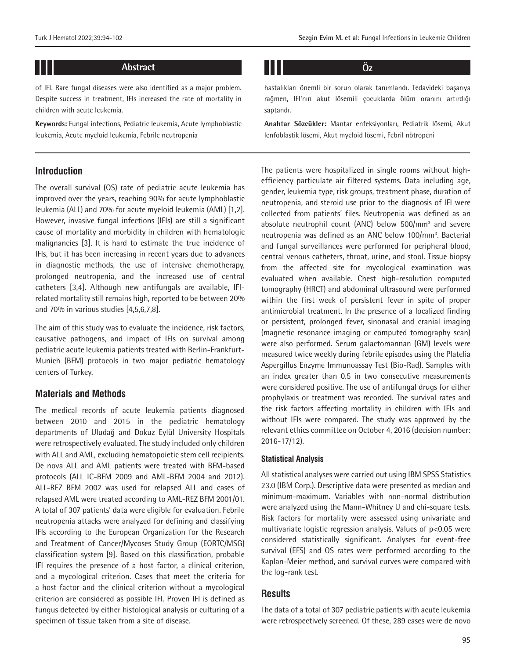## **Abstract Öz**

of IFI. Rare fungal diseases were also identified as a major problem. Despite success in treatment, IFIs increased the rate of mortality in children with acute leukemia.

**Keywords:** Fungal infections, Pediatric leukemia, Acute lymphoblastic leukemia, Acute myeloid leukemia, Febrile neutropenia

#### **Introduction**

11 I II

The overall survival (OS) rate of pediatric acute leukemia has improved over the years, reaching 90% for acute lymphoblastic leukemia (ALL) and 70% for acute myeloid leukemia (AML) [1,2]. However, invasive fungal infections (IFIs) are still a significant cause of mortality and morbidity in children with hematologic malignancies [3]. It is hard to estimate the true incidence of IFIs, but it has been increasing in recent years due to advances in diagnostic methods, the use of intensive chemotherapy, prolonged neutropenia, and the increased use of central catheters [3,4]. Although new antifungals are available, IFIrelated mortality still remains high, reported to be between 20% and 70% in various studies [4,5,6,7,8].

The aim of this study was to evaluate the incidence, risk factors, causative pathogens, and impact of IFIs on survival among pediatric acute leukemia patients treated with Berlin-Frankfurt-Munich (BFM) protocols in two major pediatric hematology centers of Turkey.

#### **Materials and Methods**

The medical records of acute leukemia patients diagnosed between 2010 and 2015 in the pediatric hematology departments of Uludağ and Dokuz Eylül University Hospitals were retrospectively evaluated. The study included only children with ALL and AML, excluding hematopoietic stem cell recipients. De nova ALL and AML patients were treated with BFM-based protocols (ALL IC-BFM 2009 and AML-BFM 2004 and 2012). ALL-REZ BFM 2002 was used for relapsed ALL and cases of relapsed AML were treated according to AML-REZ BFM 2001/01. A total of 307 patients' data were eligible for evaluation. Febrile neutropenia attacks were analyzed for defining and classifying IFIs according to the European Organization for the Research and Treatment of Cancer/Mycoses Study Group (EORTC/MSG) classification system [9]. Based on this classification, probable IFI requires the presence of a host factor, a clinical criterion, and a mycological criterion. Cases that meet the criteria for a host factor and the clinical criterion without a mycological criterion are considered as possible IFI. Proven IFI is defined as fungus detected by either histological analysis or culturing of a specimen of tissue taken from a site of disease.

hastalıkları önemli bir sorun olarak tanımlandı. Tedavideki başarıya rağmen, IFI'nın akut lösemili çocuklarda ölüm oranını artırdığı saptandı.

**Anahtar Sözcükler:** Mantar enfeksiyonları, Pediatrik lösemi, Akut lenfoblastik lösemi, Akut myeloid lösemi, Febril nötropeni

The patients were hospitalized in single rooms without highefficiency particulate air filtered systems. Data including age, gender, leukemia type, risk groups, treatment phase, duration of neutropenia, and steroid use prior to the diagnosis of IFI were collected from patients' files. Neutropenia was defined as an absolute neutrophil count (ANC) below 500/mm<sup>3</sup> and severe neutropenia was defined as an ANC below 100/mm<sup>3</sup>. Bacterial and fungal surveillances were performed for peripheral blood, central venous catheters, throat, urine, and stool. Tissue biopsy from the affected site for mycological examination was evaluated when available. Chest high-resolution computed tomography (HRCT) and abdominal ultrasound were performed within the first week of persistent fever in spite of proper antimicrobial treatment. In the presence of a localized finding or persistent, prolonged fever, sinonasal and cranial imaging (magnetic resonance imaging or computed tomography scan) were also performed. Serum galactomannan (GM) levels were measured twice weekly during febrile episodes using the Platelia Aspergillus Enzyme Immunoassay Test (Bio-Rad). Samples with an index greater than 0.5 in two consecutive measurements were considered positive. The use of antifungal drugs for either prophylaxis or treatment was recorded. The survival rates and the risk factors affecting mortality in children with IFIs and without IFIs were compared. The study was approved by the relevant ethics committee on October 4, 2016 (decision number: 2016-17/12).

#### **Statistical Analysis**

All statistical analyses were carried out using IBM SPSS Statistics 23.0 (IBM Corp.). Descriptive data were presented as median and minimum-maximum. Variables with non-normal distribution were analyzed using the Mann-Whitney U and chi-square tests. Risk factors for mortality were assessed using univariate and multivariate logistic regression analysis. Values of p<0.05 were considered statistically significant. Analyses for event-free survival (EFS) and OS rates were performed according to the Kaplan-Meier method, and survival curves were compared with the log-rank test.

#### **Results**

The data of a total of 307 pediatric patients with acute leukemia were retrospectively screened. Of these, 289 cases were de novo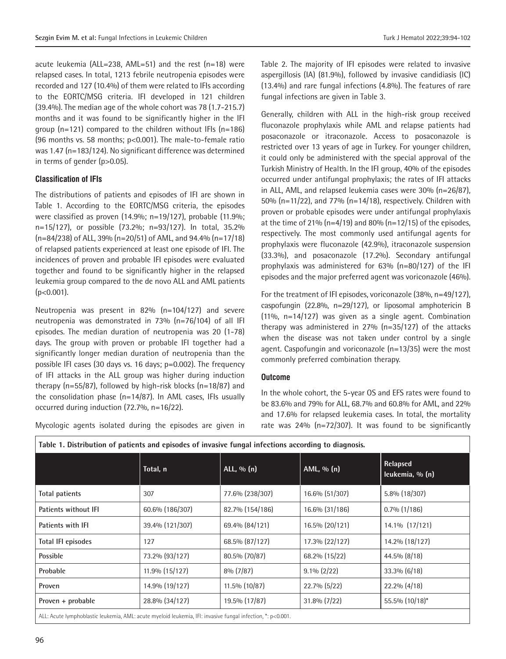acute leukemia (ALL=238, AML=51) and the rest (n=18) were relapsed cases. In total, 1213 febrile neutropenia episodes were recorded and 127 (10.4%) of them were related to IFIs according to the EORTC/MSG criteria. IFI developed in 121 children (39.4%). The median age of the whole cohort was 78 (1.7-215.7) months and it was found to be significantly higher in the IFI group (n=121) compared to the children without IFIs (n=186) (96 months vs. 58 months; p<0.001). The male-to-female ratio was 1.47 (n=183/124). No significant difference was determined in terms of gender (p>0.05).

#### **Classification of IFIs**

The distributions of patients and episodes of IFI are shown in Table 1. According to the EORTC/MSG criteria, the episodes were classified as proven (14.9%; n=19/127), probable (11.9%; n=15/127), or possible (73.2%; n=93/127). In total, 35.2% (n=84/238) of ALL, 39% (n=20/51) of AML, and 94.4% (n=17/18) of relapsed patients experienced at least one episode of IFI. The incidences of proven and probable IFI episodes were evaluated together and found to be significantly higher in the relapsed leukemia group compared to the de novo ALL and AML patients (p<0.001).

Neutropenia was present in 82% (n=104/127) and severe neutropenia was demonstrated in 73% (n=76/104) of all IFI episodes. The median duration of neutropenia was 20 (1-78) days. The group with proven or probable IFI together had a significantly longer median duration of neutropenia than the possible IFI cases (30 days vs. 16 days; p=0.002). The frequency of IFI attacks in the ALL group was higher during induction therapy (n=55/87), followed by high-risk blocks (n=18/87) and the consolidation phase (n=14/87). In AML cases, IFIs usually occurred during induction (72.7%, n=16/22).

Mycologic agents isolated during the episodes are given in

Table 2. The majority of IFI episodes were related to invasive aspergillosis (IA) (81.9%), followed by invasive candidiasis (IC) (13.4%) and rare fungal infections (4.8%). The features of rare fungal infections are given in Table 3.

Generally, children with ALL in the high-risk group received fluconazole prophylaxis while AML and relapse patients had posaconazole or itraconazole. Access to posaconazole is restricted over 13 years of age in Turkey. For younger children, it could only be administered with the special approval of the Turkish Ministry of Health. In the IFI group, 40% of the episodes occurred under antifungal prophylaxis; the rates of IFI attacks in ALL, AML, and relapsed leukemia cases were 30% (n=26/87), 50% (n=11/22), and 77% (n=14/18), respectively. Children with proven or probable episodes were under antifungal prophylaxis at the time of 21% ( $n=4/19$ ) and 80% ( $n=12/15$ ) of the episodes, respectively. The most commonly used antifungal agents for prophylaxis were fluconazole (42.9%), itraconazole suspension (33.3%), and posaconazole (17.2%). Secondary antifungal prophylaxis was administered for 63% (n=80/127) of the IFI episodes and the major preferred agent was voriconazole (46%).

For the treatment of IFI episodes, voriconazole (38%, n=49/127), caspofungin (22.8%, n=29/127), or liposomal amphotericin B (11%, n=14/127) was given as a single agent. Combination therapy was administered in 27% (n=35/127) of the attacks when the disease was not taken under control by a single agent. Caspofungin and voriconazole (n=13/35) were the most commonly preferred combination therapy.

#### **Outcome**

In the whole cohort, the 5-year OS and EFS rates were found to be 83.6% and 79% for ALL, 68.7% and 60.8% for AML, and 22% and 17.6% for relapsed leukemia cases. In total, the mortality rate was 24% (n=72/307). It was found to be significantly

| raoic 11 Discribution of patients and episoaes of invasive rungal infections according to alagnosis.        |                 |                 |                |                             |  |
|-------------------------------------------------------------------------------------------------------------|-----------------|-----------------|----------------|-----------------------------|--|
|                                                                                                             | Total, n        | ALL, $\%$ (n)   | AML, $\%$ (n)  | Relapsed<br>leukemia, % (n) |  |
| <b>Total patients</b>                                                                                       | 307             | 77.6% (238/307) | 16.6% (51/307) | 5.8% (18/307)               |  |
| <b>Patients without IFI</b>                                                                                 | 60.6% (186/307) | 82.7% (154/186) | 16.6% (31/186) | $0.7\%$ (1/186)             |  |
| Patients with IFI                                                                                           | 39.4% (121/307) | 69.4% (84/121)  | 16.5% (20/121) | 14.1% (17/121)              |  |
| <b>Total IFI episodes</b>                                                                                   | 127             | 68.5% (87/127)  | 17.3% (22/127) | 14.2% (18/127)              |  |
| <b>Possible</b>                                                                                             | 73.2% (93/127)  | 80.5% (70/87)   | 68.2% (15/22)  | 44.5% (8/18)                |  |
| Probable                                                                                                    | 11.9% (15/127)  | $8\%$ (7/87)    | $9.1\% (2/22)$ | $33.3\%$ (6/18)             |  |
| Proven                                                                                                      | 14.9% (19/127)  | 11.5% (10/87)   | 22.7% (5/22)   | 22.2% (4/18)                |  |
| Proven + probable                                                                                           | 28.8% (34/127)  | 19.5% (17/87)   | 31.8% (7/22)   | 55.5% (10/18)*              |  |
| ALL: Acute lymphoblastic leukemia, AML: acute myeloid leukemia, IFI: invasive fungal infection, *: p<0.001. |                 |                 |                |                             |  |

**Table 1. Distribution of patients and episodes of invasive fungal infections according to diagnosis.**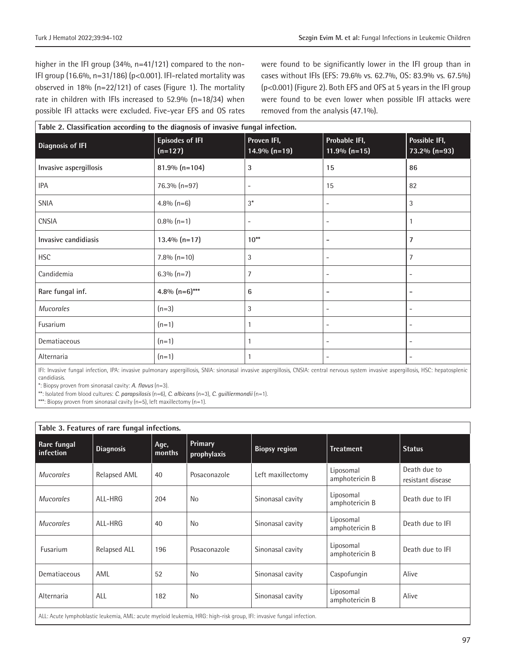higher in the IFI group (34%, n=41/121) compared to the non-IFI group (16.6%, n=31/186) (p<0.001). IFI-related mortality was observed in 18% (n=22/121) of cases (Figure 1). The mortality rate in children with IFIs increased to 52.9% (n=18/34) when possible IFI attacks were excluded. Five-year EFS and OS rates were found to be significantly lower in the IFI group than in cases without IFIs (EFS: 79.6% vs. 62.7%, OS: 83.9% vs. 67.5%) (p<0.001) (Figure 2). Both EFS and OFS at 5 years in the IFI group were found to be even lower when possible IFI attacks were removed from the analysis (47.1%).

| Table 2. Classification according to the diagnosis of invasive fungal infection. |                                     |                                                                   |                                  |                                                        |  |
|----------------------------------------------------------------------------------|-------------------------------------|-------------------------------------------------------------------|----------------------------------|--------------------------------------------------------|--|
| <b>Diagnosis of IFI</b>                                                          | <b>Episodes of IFI</b><br>$(n=127)$ | Proven IFI,<br>$14.9\%$ (n=19)                                    | Probable IFI,<br>$11.9\%$ (n=15) | Possible IFI,<br>$73.2\%$ (n=93)                       |  |
| Invasive aspergillosis                                                           | $81.9\%$ (n=104)                    | 3                                                                 | 15                               | 86                                                     |  |
| <b>IPA</b>                                                                       | 76.3% (n=97)                        | $\overline{a}$                                                    | 15                               | 82                                                     |  |
| <b>SNIA</b>                                                                      | $4.8\%$ (n=6)                       | $3^*$                                                             | ۰                                | 3                                                      |  |
| <b>CNSIA</b>                                                                     | $0.8\%$ (n=1)                       | $\overline{\phantom{a}}$                                          | $\overline{\phantom{a}}$         | 1                                                      |  |
| Invasive candidiasis                                                             | $13.4\%$ (n=17)                     | $10^{**}$                                                         | -                                | 7                                                      |  |
| <b>HSC</b>                                                                       | $7.8\%$ (n=10)                      | 3                                                                 | ۰                                | $\overline{7}$                                         |  |
| Candidemia                                                                       | $6.3\%$ (n=7)                       | 7                                                                 | $\overline{\phantom{a}}$         | $\overline{\phantom{a}}$                               |  |
| Rare fungal inf.                                                                 | 4.8% $(n=6)$ ***                    | 6                                                                 | $\overline{a}$                   | $\overline{\phantom{a}}$                               |  |
| Mucorales                                                                        | $(n=3)$                             | 3                                                                 | ۰                                | $\overline{\phantom{a}}$                               |  |
| Fusarium                                                                         | $(n=1)$                             | 1                                                                 | -                                | $\overline{\phantom{m}}$                               |  |
| Dematiaceous                                                                     | $(n=1)$                             | 1                                                                 | $\overline{\phantom{a}}$         | $\overline{\phantom{a}}$                               |  |
| Alternaria                                                                       | $(n=1)$                             | the contract of the contract of the<br>$\cdots$ $\cdots$ $\cdots$ |                                  | $\overline{\phantom{a}}$<br>$\cdots$ $\cdots$ $\cdots$ |  |

IFI: Invasive fungal infection, IPA: invasive pulmonary aspergillosis, SNIA: sinonasal invasive aspergillosis, CNSIA: central nervous system invasive aspergillosis, HSC: hepatosplenic candidiasis.

\*: Biopsy proven from sinonasal cavity: *A. flavus* (n=3).

\*\*: Isolated from blood cultures: *C. parapsilosis* (n=6), *C. albicans* (n=3), *C. guilliermondii* (n=1).

\*\*\*: Biopsy proven from sinonasal cavity (n=5), left maxillectomy (n=1).

| Table 3. Features of rare fungal infections.                                                                          |                     |                |                        |                      |                             |                                   |
|-----------------------------------------------------------------------------------------------------------------------|---------------------|----------------|------------------------|----------------------|-----------------------------|-----------------------------------|
| Rare fungal<br>infection                                                                                              | <b>Diagnosis</b>    | Age,<br>months | Primary<br>prophylaxis | <b>Biopsy region</b> | <b>Treatment</b>            | <b>Status</b>                     |
| <b>Mucorales</b>                                                                                                      | Relapsed AML        | 40             | Posaconazole           | Left maxillectomy    | Liposomal<br>amphotericin B | Death due to<br>resistant disease |
| <b>Mucorales</b>                                                                                                      | ALL-HRG             | 204            | <b>No</b>              | Sinonasal cavity     | Liposomal<br>amphotericin B | Death due to IFI                  |
| <b>Mucorales</b>                                                                                                      | ALL-HRG             | 40             | <b>No</b>              | Sinonasal cavity     | Liposomal<br>amphotericin B | Death due to IFI                  |
| <b>Fusarium</b>                                                                                                       | <b>Relapsed ALL</b> | 196            | Posaconazole           | Sinonasal cavity     | Liposomal<br>amphotericin B | Death due to IFI                  |
| Dematiaceous                                                                                                          | AML                 | 52             | <b>No</b>              | Sinonasal cavity     | Caspofungin                 | Alive                             |
| Alternaria                                                                                                            | ALL                 | 182            | <b>No</b>              | Sinonasal cavity     | Liposomal<br>amphotericin B | Alive                             |
| ALL: Acute lymphoblastic leukemia, AML: acute myeloid leukemia, HRG: high-risk group, IFI: invasive fungal infection. |                     |                |                        |                      |                             |                                   |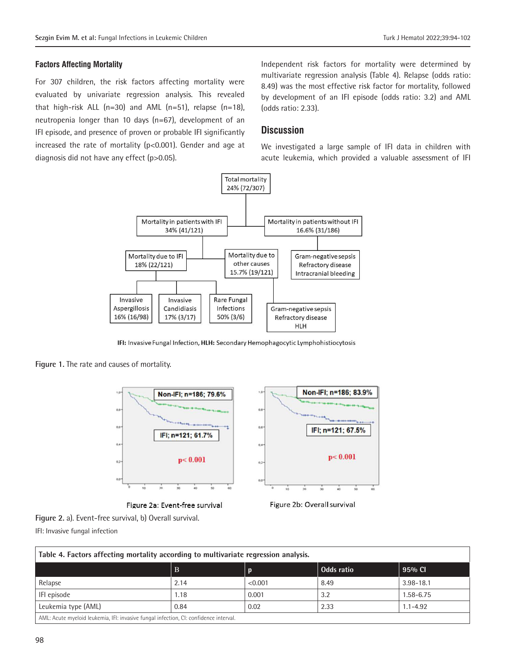#### **Factors Affecting Mortality**

For 307 children, the risk factors affecting mortality were evaluated by univariate regression analysis. This revealed that high-risk ALL  $(n=30)$  and AML  $(n=51)$ , relapse  $(n=18)$ , neutropenia longer than 10 days (n=67), development of an IFI episode, and presence of proven or probable IFI significantly increased the rate of mortality (p<0.001). Gender and age at diagnosis did not have any effect (p>0.05).

Independent risk factors for mortality were determined by multivariate regression analysis (Table 4). Relapse (odds ratio: 8.49) was the most effective risk factor for mortality, followed by development of an IFI episode (odds ratio: 3.2) and AML (odds ratio: 2.33).

#### **Discussion**

We investigated a large sample of IFI data in children with acute leukemia, which provided a valuable assessment of IFI



IFI: Invasive Fungal Infection, HLH: Secondary Hemophagocytic Lymphohistiocytosis

**Figure 1.** The rate and causes of mortality.

**Figure 2.** a). Event-free survival, b) Overall survival.

IFI: Invasive fungal infection



Figure 2a: Event-free survival



Figure 2b: Overall survival

| Table 4. Factors affecting mortality according to multivariate regression analysis.   |             |         |            |               |  |
|---------------------------------------------------------------------------------------|-------------|---------|------------|---------------|--|
|                                                                                       | $\mathbf B$ |         | Odds ratio | 95% CI        |  |
| Relapse                                                                               | 2.14        | < 0.001 | 8.49       | $3.98 - 18.1$ |  |
| IFI episode                                                                           | 1.18        | 0.001   | 3.2        | 1.58-6.75     |  |
| Leukemia type (AML)                                                                   | 0.84        | 0.02    | 2.33       | $1.1 - 4.92$  |  |
| AML: Acute myeloid leukemia, IFI: invasive fungal infection, CI: confidence interval. |             |         |            |               |  |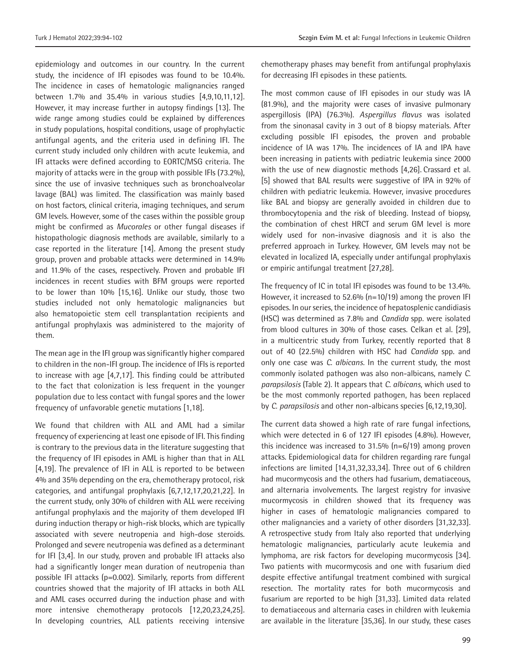epidemiology and outcomes in our country. In the current study, the incidence of IFI episodes was found to be 10.4%. The incidence in cases of hematologic malignancies ranged between 1.7% and 35.4% in various studies [4,9,10,11,12]. However, it may increase further in autopsy findings [13]. The wide range among studies could be explained by differences in study populations, hospital conditions, usage of prophylactic antifungal agents, and the criteria used in defining IFI. The current study included only children with acute leukemia, and IFI attacks were defined according to EORTC/MSG criteria. The majority of attacks were in the group with possible IFIs (73.2%), since the use of invasive techniques such as bronchoalveolar lavage (BAL) was limited. The classification was mainly based on host factors, clinical criteria, imaging techniques, and serum GM levels. However, some of the cases within the possible group might be confirmed as *Mucorales* or other fungal diseases if histopathologic diagnosis methods are available, similarly to a case reported in the literature [14]. Among the present study group, proven and probable attacks were determined in 14.9% and 11.9% of the cases, respectively. Proven and probable IFI incidences in recent studies with BFM groups were reported to be lower than 10% [15,16]. Unlike our study, those two studies included not only hematologic malignancies but also hematopoietic stem cell transplantation recipients and antifungal prophylaxis was administered to the majority of them.

The mean age in the IFI group was significantly higher compared to children in the non-IFI group. The incidence of IFIs is reported to increase with age [4,7,17]. This finding could be attributed to the fact that colonization is less frequent in the younger population due to less contact with fungal spores and the lower frequency of unfavorable genetic mutations [1,18].

We found that children with ALL and AML had a similar frequency of experiencing at least one episode of IFI. This finding is contrary to the previous data in the literature suggesting that the frequency of IFI episodes in AML is higher than that in ALL [4,19]. The prevalence of IFI in ALL is reported to be between 4% and 35% depending on the era, chemotherapy protocol, risk categories, and antifungal prophylaxis [6,7,12,17,20,21,22]. In the current study, only 30% of children with ALL were receiving antifungal prophylaxis and the majority of them developed IFI during induction therapy or high-risk blocks, which are typically associated with severe neutropenia and high-dose steroids. Prolonged and severe neutropenia was defined as a determinant for IFI [3,4]. In our study, proven and probable IFI attacks also had a significantly longer mean duration of neutropenia than possible IFI attacks (p=0.002). Similarly, reports from different countries showed that the majority of IFI attacks in both ALL and AML cases occurred during the induction phase and with more intensive chemotherapy protocols [12,20,23,24,25]. In developing countries, ALL patients receiving intensive chemotherapy phases may benefit from antifungal prophylaxis for decreasing IFI episodes in these patients.

The most common cause of IFI episodes in our study was IA (81.9%), and the majority were cases of invasive pulmonary aspergillosis (IPA) (76.3%). *Aspergillus flavus* was isolated from the sinonasal cavity in 3 out of 8 biopsy materials. After excluding possible IFI episodes, the proven and probable incidence of IA was 17%. The incidences of IA and IPA have been increasing in patients with pediatric leukemia since 2000 with the use of new diagnostic methods [4,26]. Crassard et al. [5] showed that BAL results were suggestive of IPA in 92% of children with pediatric leukemia. However, invasive procedures like BAL and biopsy are generally avoided in children due to thrombocytopenia and the risk of bleeding. Instead of biopsy, the combination of chest HRCT and serum GM level is more widely used for non-invasive diagnosis and it is also the preferred approach in Turkey. However, GM levels may not be elevated in localized IA, especially under antifungal prophylaxis or empiric antifungal treatment [27,28].

The frequency of IC in total IFI episodes was found to be 13.4%. However, it increased to 52.6% (n=10/19) among the proven IFI episodes. In our series, the incidence of hepatosplenic candidiasis (HSC) was determined as 7.8% and *Candida* spp. were isolated from blood cultures in 30% of those cases. Celkan et al. [29], in a multicentric study from Turkey, recently reported that 8 out of 40 (22.5%) children with HSC had *Candida* spp. and only one case was *C. albicans.* In the current study, the most commonly isolated pathogen was also non-albicans, namely *C. parapsilosis* (Table 2). It appears that *C. albicans*, which used to be the most commonly reported pathogen, has been replaced by *C. parapsilosis* and other non-albicans species [6,12,19,30].

The current data showed a high rate of rare fungal infections, which were detected in 6 of 127 IFI episodes (4.8%). However, this incidence was increased to 31.5% (n=6/19) among proven attacks. Epidemiological data for children regarding rare fungal infections are limited [14,31,32,33,34]. Three out of 6 children had mucormycosis and the others had fusarium, dematiaceous, and alternaria involvements. The largest registry for invasive mucormycosis in children showed that its frequency was higher in cases of hematologic malignancies compared to other malignancies and a variety of other disorders [31,32,33]. A retrospective study from Italy also reported that underlying hematologic malignancies, particularly acute leukemia and lymphoma, are risk factors for developing mucormycosis [34]. Two patients with mucormycosis and one with fusarium died despite effective antifungal treatment combined with surgical resection. The mortality rates for both mucormycosis and fusarium are reported to be high [31,33]. Limited data related to dematiaceous and alternaria cases in children with leukemia are available in the literature [35,36]. In our study, these cases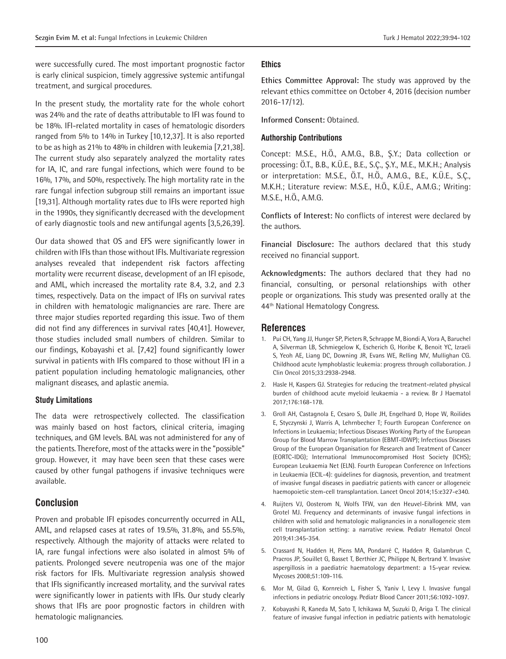were successfully cured. The most important prognostic factor is early clinical suspicion, timely aggressive systemic antifungal treatment, and surgical procedures.

In the present study, the mortality rate for the whole cohort was 24% and the rate of deaths attributable to IFI was found to be 18%. IFI-related mortality in cases of hematologic disorders ranged from 5% to 14% in Turkey [10,12,37]. It is also reported to be as high as 21% to 48% in children with leukemia [7,21,38]. The current study also separately analyzed the mortality rates for IA, IC, and rare fungal infections, which were found to be 16%, 17%, and 50%, respectively. The high mortality rate in the rare fungal infection subgroup still remains an important issue [19,31]. Although mortality rates due to IFIs were reported high in the 1990s, they significantly decreased with the development of early diagnostic tools and new antifungal agents [3,5,26,39].

Our data showed that OS and EFS were significantly lower in children with IFIs than those without IFIs. Multivariate regression analyses revealed that independent risk factors affecting mortality were recurrent disease, development of an IFI episode, and AML, which increased the mortality rate 8.4, 3.2, and 2.3 times, respectively. Data on the impact of IFIs on survival rates in children with hematologic malignancies are rare. There are three major studies reported regarding this issue. Two of them did not find any differences in survival rates [40,41]. However, those studies included small numbers of children. Similar to our findings, Kobayashi et al. [7,42] found significantly lower survival in patients with IFIs compared to those without IFI in a patient population including hematologic malignancies, other malignant diseases, and aplastic anemia.

#### **Study Limitations**

The data were retrospectively collected. The classification was mainly based on host factors, clinical criteria, imaging techniques, and GM levels. BAL was not administered for any of the patients. Therefore, most of the attacks were in the "possible" group. However, it may have been seen that these cases were caused by other fungal pathogens if invasive techniques were available.

#### **Conclusion**

Proven and probable IFI episodes concurrently occurred in ALL, AML, and relapsed cases at rates of 19.5%, 31.8%, and 55.5%, respectively. Although the majority of attacks were related to IA, rare fungal infections were also isolated in almost 5% of patients. Prolonged severe neutropenia was one of the major risk factors for IFIs. Multivariate regression analysis showed that IFIs significantly increased mortality, and the survival rates were significantly lower in patients with IFIs. Our study clearly shows that IFIs are poor prognostic factors in children with hematologic malignancies.

#### **Ethics**

**Ethics Committee Approval:** The study was approved by the relevant ethics committee on October 4, 2016 (decision number 2016-17/12).

**Informed Consent:** Obtained.

#### **Authorship Contributions**

Concept: M.S.E., H.Ö., A.M.G., B.B., Ş.Y.; Data collection or processing: Ö.T., B.B., K.Ü.E., B.E., S.Ç., Ş.Y., M.E., M.K.H.; Analysis or interpretation: M.S.E., Ö.T., H.Ö., A.M.G., B.E., K.Ü.E., S.Ç., M.K.H.; Literature review: M.S.E., H.Ö., K.Ü.E., A.M.G.; Writing: M.S.E., H.Ö., A.M.G.

**Conflicts of Interest:** No conflicts of interest were declared by the authors.

**Financial Disclosure:** The authors declared that this study received no financial support.

**Acknowledgments:** The authors declared that they had no financial, consulting, or personal relationships with other people or organizations. This study was presented orally at the 44<sup>th</sup> National Hematology Congress.

#### **References**

- 1. Pui CH, Yang JJ, Hunger SP, Pieters R, Schrappe M, Biondi A, Vora A, Baruchel A, Silverman LB, Schmiegelow K, Escherich G, Horibe K, Benoit YC, Izraeli S, Yeoh AE, Liang DC, Downing JR, Evans WE, Relling MV, Mullighan CG. Childhood acute lymphoblastic leukemia: progress through collaboration. J Clin Oncol 2015;33:2938-2948.
- 2. Hasle H, Kaspers GJ. Strategies for reducing the treatment-related physical burden of childhood acute myeloid leukaemia - a review. Br J Haematol 2017;176:168-178.
- 3. Groll AH, Castagnola E, Cesaro S, Dalle JH, Engelhard D, Hope W, Roilides E, Styczynski J, Warris A, Lehrnbecher T; Fourth European Conference on Infections in Leukaemia; Infectious Diseases Working Party of the European Group for Blood Marrow Transplantation (EBMT-IDWP); Infectious Diseases Group of the European Organisation for Research and Treatment of Cancer (EORTC-IDG); International Immunocompromised Host Society (ICHS); European Leukaemia Net (ELN). Fourth European Conference on Infections in Leukaemia (ECIL-4): guidelines for diagnosis, prevention, and treatment of invasive fungal diseases in paediatric patients with cancer or allogeneic haemopoietic stem-cell transplantation. Lancet Oncol 2014;15:e327-e340.
- 4. Ruijters VJ, Oosterom N, Wolfs TFW, van den Heuvel-Eibrink MM, van Grotel MJ. Frequency and determinants of invasive fungal infections in children with solid and hematologic malignancies in a nonallogeneic stem cell transplantation setting: a narrative review. Pediatr Hematol Oncol 2019;41:345-354.
- 5. Crassard N, Hadden H, Piens MA, Pondarré C, Hadden R, Galambrun C, Pracros JP, Souillet G, Basset T, Berthier JC, Philippe N, Bertrand Y. Invasive aspergillosis in a paediatric haematology department: a 15-year review. Mycoses 2008;51:109-116.
- 6. Mor M, Gilad G, Kornreich L, Fisher S, Yaniv I, Levy I. Invasive fungal infections in pediatric oncology. Pediatr Blood Cancer 2011;56:1092-1097.
- 7. Kobayashi R, Kaneda M, Sato T, Ichikawa M, Suzuki D, Ariga T. The clinical feature of invasive fungal infection in pediatric patients with hematologic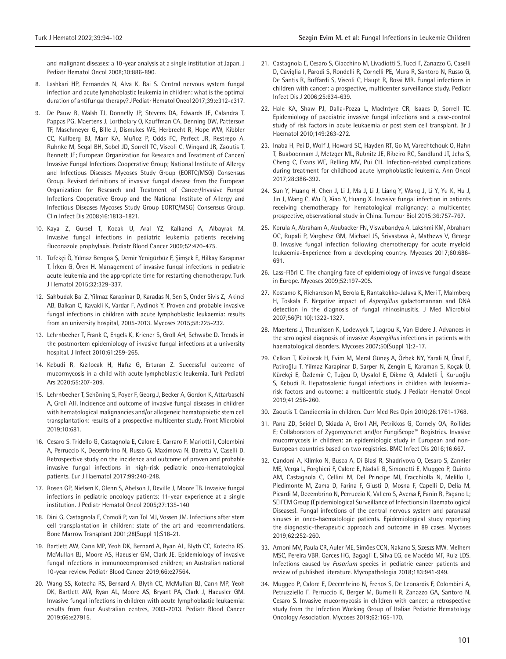and malignant diseases: a 10-year analysis at a single institution at Japan. J Pediatr Hematol Oncol 2008;30:886-890.

- 8. Lashkari HP, Fernandes N, Alva K, Rai S. Central nervous system fungal infection and acute lymphoblastic leukemia in children: what is the optimal duration of antifungal therapy? J Pediatr Hematol Oncol 2017;39:e312-e317.
- 9. De Pauw B, Walsh TJ, Donnelly JP, Stevens DA, Edwards JE, Calandra T, Pappas PG, Maertens J, Lortholary O, Kauffman CA, Denning DW, Patterson TF, Maschmeyer G, Bille J, Dismukes WE, Herbrecht R, Hope WW, Kibbler CC, Kullberg BJ, Marr KA, Muñoz P, Odds FC, Perfect JR, Restrepo A, Ruhnke M, Segal BH, Sobel JD, Sorrell TC, Viscoli C, Wingard JR, Zaoutis T, Bennett JE; European Organization for Research and Treatment of Cancer/ Invasive Fungal Infections Cooperative Group; National Institute of Allergy and Infectious Diseases Mycoses Study Group (EORTC/MSG) Consensus Group. Revised definitions of invasive fungal disease from the European Organization for Research and Treatment of Cancer/Invasive Fungal Infections Cooperative Group and the National Institute of Allergy and Infectious Diseases Mycoses Study Group EORTC/MSG) Consensus Group. Clin Infect Dis 2008;46:1813-1821.
- 10. Kaya Z, Gursel T, Kocak U, Aral YZ, Kalkanci A, Albayrak M. Invasive fungal infections in pediatric leukemia patients receiving fluconazole prophylaxis. Pediatr Blood Cancer 2009;52:470-475.
- 11. Tüfekçi Ö, Yılmaz Bengoa Ş, Demir Yenigürbüz F, Şimşek E, Hilkay Karapınar T, İrken G, Ören H. Management of invasive fungal infections in pediatric acute leukemia and the appropriate time for restarting chemotherapy. Turk J Hematol 2015;32:329-337.
- 12. Sahbudak Bal Z, Yilmaz Karapinar D, Karadas N, Sen S, Onder Sivis Z, Akinci AB, Balkan C, Kavakli K, Vardar F, Aydinok Y. Proven and probable invasive fungal infections in children with acute lymphoblastic leukaemia: results from an university hospital, 2005-2013. Mycoses 2015;58:225-232.
- 13. Lehrnbecher T, Frank C, Engels K, Kriener S, Groll AH, Schwabe D. Trends in the postmortem epidemiology of invasive fungal infections at a university hospital. J Infect 2010;61:259-265.
- 14. Kebudi R, Kızılocak H, Hafız G, Erturan Z. Successful outcome of mucormycosis in a child with acute lymphoblastic leukemia. Turk Pediatri Ars 2020;55:207-209.
- 15. Lehrnbecher T, Schöning S, Poyer F, Georg J, Becker A, Gordon K, Attarbaschi A, Groll AH. Incidence and outcome of invasive fungal diseases in children with hematological malignancies and/or allogeneic hematopoietic stem cell transplantation: results of a prospective multicenter study. Front Microbiol 2019;10:681.
- 16. Cesaro S, Tridello G, Castagnola E, Calore E, Carraro F, Mariotti I, Colombini A, Perruccio K, Decembrino N, Russo G, Maximova N, Baretta V, Caselli D. Retrospective study on the incidence and outcome of proven and probable invasive fungal infections in high-risk pediatric onco-hematological patients. Eur J Haematol 2017;99:240-248.
- 17. Rosen GP, Nielsen K, Glenn S, Abelson J, Deville J, Moore TB. Invasive fungal infections in pediatric oncology patients: 11-year experience at a single institution. J Pediatr Hematol Oncol 2005;27:135-140
- 18. Dini G, Castagnola E, Comoli P, van Tol MJ, Vossen JM. Infections after stem cell transplantation in children: state of the art and recommendations. Bone Marrow Transplant 2001;28(Suppl 1):S18-21.
- 19. Bartlett AW, Cann MP, Yeoh DK, Bernard A, Ryan AL, Blyth CC, Kotecha RS, McMullan BJ, Moore AS, Haeusler GM, Clark JE. Epidemiology of invasive fungal infections in immunocompromised children; an Australian national 10-year review. Pediatr Blood Cancer 2019;66:e27564.
- 20. Wang SS, Kotecha RS, Bernard A, Blyth CC, McMullan BJ, Cann MP, Yeoh DK, Bartlett AW, Ryan AL, Moore AS, Bryant PA, Clark J, Haeusler GM. Invasive fungal infections in children with acute lymphoblastic leukaemia: results from four Australian centres, 2003-2013. Pediatr Blood Cancer 2019;66:e27915.
- 21. Castagnola E, Cesaro S, Giacchino M, Livadiotti S, Tucci F, Zanazzo G, Caselli D, Caviglia I, Parodi S, Rondelli R, Cornelli PE, Mura R, Santoro N, Russo G, De Santis R, Buffardi S, Viscoli C, Haupt R, Rossi MR. Fungal infections in children with cancer: a prospective, multicenter surveillance study. Pediatr Infect Dis J 2006;25:634-639.
- 22. Hale KA, Shaw PJ, Dalla-Pozza L, MacIntyre CR, Isaacs D, Sorrell TC. Epidemiology of paediatric invasive fungal infections and a case-control study of risk factors in acute leukaemia or post stem cell transplant. Br J Haematol 2010;149:263-272.
- 23. Inaba H, Pei D, Wolf J, Howard SC, Hayden RT, Go M, Varechtchouk O, Hahn T, Buaboonnam J, Metzger ML, Rubnitz JE, Ribeiro RC, Sandlund JT, Jeha S, Cheng C, Evans WE, Relling MV, Pui CH. Infection-related complications during treatment for childhood acute lymphoblastic leukemia. Ann Oncol 2017;28:386-392.
- 24. Sun Y, Huang H, Chen J, Li J, Ma J, Li J, Liang Y, Wang J, Li Y, Yu K, Hu J, Jin J, Wang C, Wu D, Xiao Y, Huang X. Invasive fungal infection in patients receiving chemotherapy for hematological malignancy: a multicenter, prospective, observational study in China. Tumour Biol 2015;36:757-767.
- 25. Korula A, Abraham A, Abubacker FN, Viswabandya A, Lakshmi KM, Abraham OC, Rupali P, Varghese GM, Michael JS, Srivastava A, Mathews V, George B. Invasive fungal infection following chemotherapy for acute myeloid leukaemia-Experience from a developing country. Mycoses 2017;60:686- 691.
- 26. Lass-Flörl C. The changing face of epidemiology of invasive fungal disease in Europe. Mycoses 2009;52:197-205.
- 27. Kostamo K, Richardson M, Eerola E, Rantakokko-Jalava K, Meri T, Malmberg H, Toskala E. Negative impact of *Aspergillus* galactomannan and DNA detection in the diagnosis of fungal rhinosinusitis. J Med Microbiol 2007;56(Pt 10):1322-1327.
- 28. Maertens J, Theunissen K, Lodewyck T, Lagrou K, Van Eldere J. Advances in the serological diagnosis of invasive *Aspergillus* infections in patients with haematological disorders. Mycoses 2007;50(Suppl 1):2-17.
- 29. Celkan T, Kizilocak H, Evim M, Meral Güneş A, Özbek NY, Yarali N, Ünal E, Patiroğlu T, Yilmaz Karapinar D, Sarper N, Zengin E, Karaman S, Koçak Ü, Kürekçi E, Özdemir C, Tuğcu D, Uysalol E, Dikme G, Adaletli İ, Kuruoğlu S, Kebudi R. Hepatosplenic fungal infections in children with leukemiarisk factors and outcome: a multicentric study. J Pediatr Hematol Oncol 2019;41:256-260.
- 30. Zaoutis T. Candidemia in children. Curr Med Res Opin 2010;26:1761-1768.
- 31. Pana ZD, Seidel D, Skiada A, Groll AH, Petrikkos G, Cornely OA, Roilides E; Collaborators of Zygomyco.net and/or FungiScope™ Registries. Invasive mucormycosis in children: an epidemiologic study in European and non-European countries based on two registries. BMC Infect Dis 2016;16:667.
- 32. Candoni A, Klimko N, Busca A, Di Blasi R, Shadrivova O, Cesaro S, Zannier ME, Verga L, Forghieri F, Calore E, Nadali G, Simonetti E, Muggeo P, Quinto AM, Castagnola C, Cellini M, Del Principe MI, Fracchiolla N, Melillo L, Piedimonte M, Zama D, Farina F, Giusti D, Mosna F, Capelli D, Delia M, Picardi M, Decembrino N, Perruccio K, Vallero S, Aversa F, Fanin R, Pagano L; SEIFEM Group (Epidemiological Surveillance of Infections in Haematological Diseases). Fungal infections of the central nervous system and paranasal sinuses in onco-haematologic patients. Epidemiological study reporting the diagnostic-therapeutic approach and outcome in 89 cases. Mycoses 2019;62:252-260.
- 33. Arnoni MV, Paula CR, Auler ME, Simões CCN, Nakano S, Szeszs MW, Melhem MSC, Pereira VBR, Garces HG, Bagagli E, Silva EG, de Macêdo MF, Ruiz LDS. Infections caused by *Fusarium* species in pediatric cancer patients and review of published literature. Mycopathologia 2018;183:941-949.
- 34. Muggeo P, Calore E, Decembrino N, Frenos S, De Leonardis F, Colombini A, Petruzziello F, Perruccio K, Berger M, Burnelli R, Zanazzo GA, Santoro N, Cesaro S. Invasive mucormycosis in children with cancer: a retrospective study from the Infection Working Group of Italian Pediatric Hematology Oncology Association. Mycoses 2019;62:165-170.